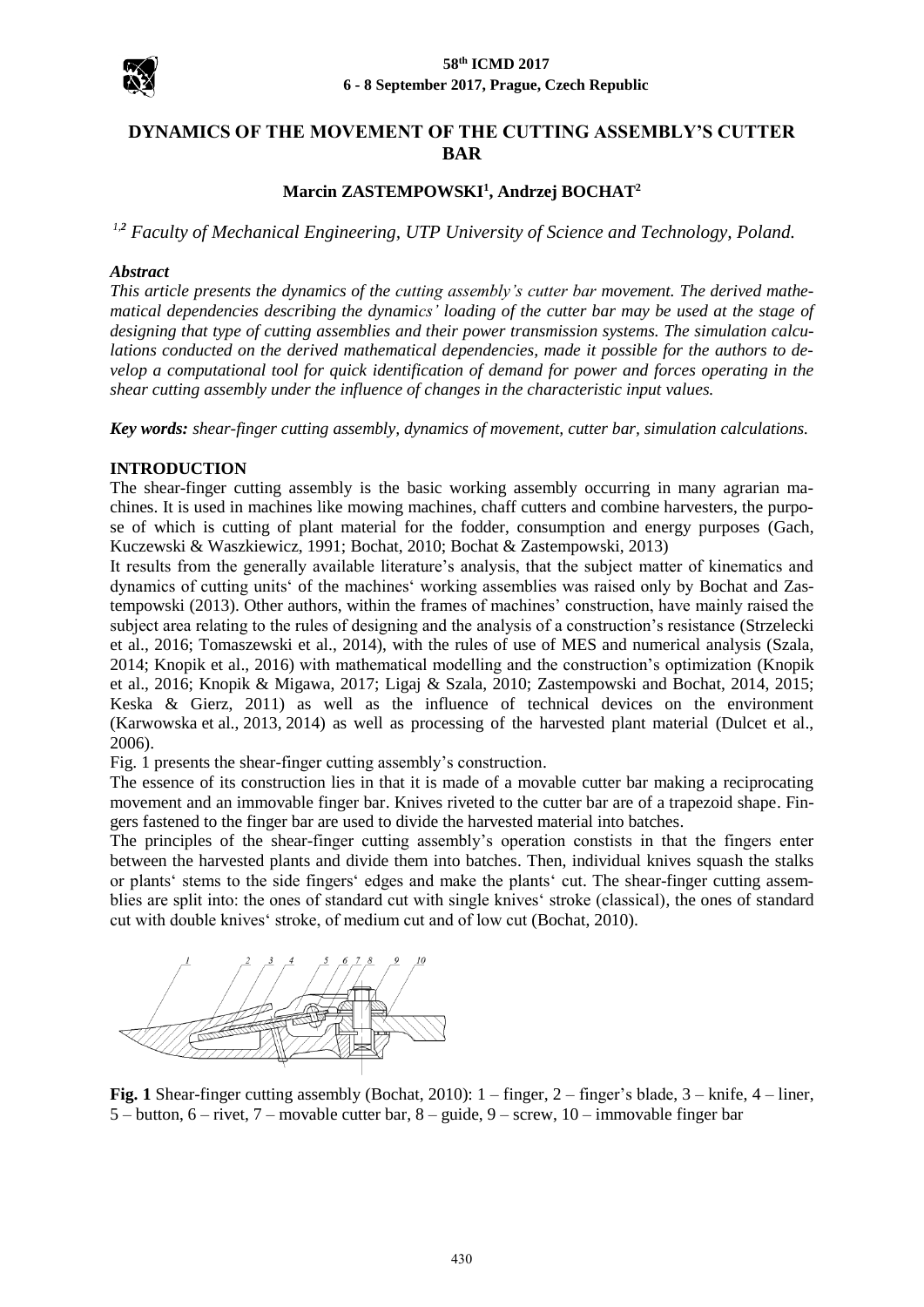

# **DYNAMICS OF THE MOVEMENT OF THE CUTTING ASSEMBLY'S CUTTER BAR**

## **Marcin ZASTEMPOWSKI<sup>1</sup> , Andrzej BOCHAT<sup>2</sup>**

*1,<sup>2</sup> Faculty of Mechanical Engineering, UTP University of Science and Technology, Poland.* 

### *Abstract*

*This article presents the dynamics of the cutting assembly's cutter bar movement. The derived mathematical dependencies describing the dynamics' loading of the cutter bar may be used at the stage of designing that type of cutting assemblies and their power transmission systems. The simulation calculations conducted on the derived mathematical dependencies, made it possible for the authors to develop a computational tool for quick identification of demand for power and forces operating in the shear cutting assembly under the influence of changes in the characteristic input values.*

*Key words: shear-finger cutting assembly, dynamics of movement, cutter bar, simulation calculations.*

## **INTRODUCTION**

The shear-finger cutting assembly is the basic working assembly occurring in many agrarian machines. It is used in machines like mowing machines, chaff cutters and combine harvesters, the purpose of which is cutting of plant material for the fodder, consumption and energy purposes (Gach, Kuczewski & Waszkiewicz, 1991; Bochat, 2010; Bochat & Zastempowski, 2013)

It results from the generally available literature's analysis, that the subject matter of kinematics and dynamics of cutting units' of the machines' working assemblies was raised only by Bochat and Zastempowski (2013). Other authors, within the frames of machines' construction, have mainly raised the subject area relating to the rules of designing and the analysis of a construction's resistance (Strzelecki et al., 2016; Tomaszewski et al., 2014), with the rules of use of MES and numerical analysis (Szala, 2014; Knopik et al., 2016) with mathematical modelling and the construction's optimization (Knopik et al., 2016; Knopik & Migawa, 2017; Ligaj & Szala, 2010; Zastempowski and Bochat, 2014, 2015; Keska & Gierz, 2011) as well as the influence of technical devices on the environment (Karwowska et al., 2013, 2014) as well as processing of the harvested plant material (Dulcet et al., 2006).

Fig. 1 presents the shear-finger cutting assembly's construction.

The essence of its construction lies in that it is made of a movable cutter bar making a reciprocating movement and an immovable finger bar. Knives riveted to the cutter bar are of a trapezoid shape. Fingers fastened to the finger bar are used to divide the harvested material into batches.

The principles of the shear-finger cutting assembly's operation constists in that the fingers enter between the harvested plants and divide them into batches. Then, individual knives squash the stalks or plants' stems to the side fingers' edges and make the plants' cut. The shear-finger cutting assemblies are split into: the ones of standard cut with single knives' stroke (classical), the ones of standard cut with double knives' stroke, of medium cut and of low cut (Bochat, 2010).



**Fig. 1** Shear-finger cutting assembly (Bochat, 2010): 1 – finger, 2 – finger's blade, 3 – knife, 4 – liner, 5 – button, 6 – rivet, 7 – movable cutter bar, 8 – guide, 9 – screw, 10 – immovable finger bar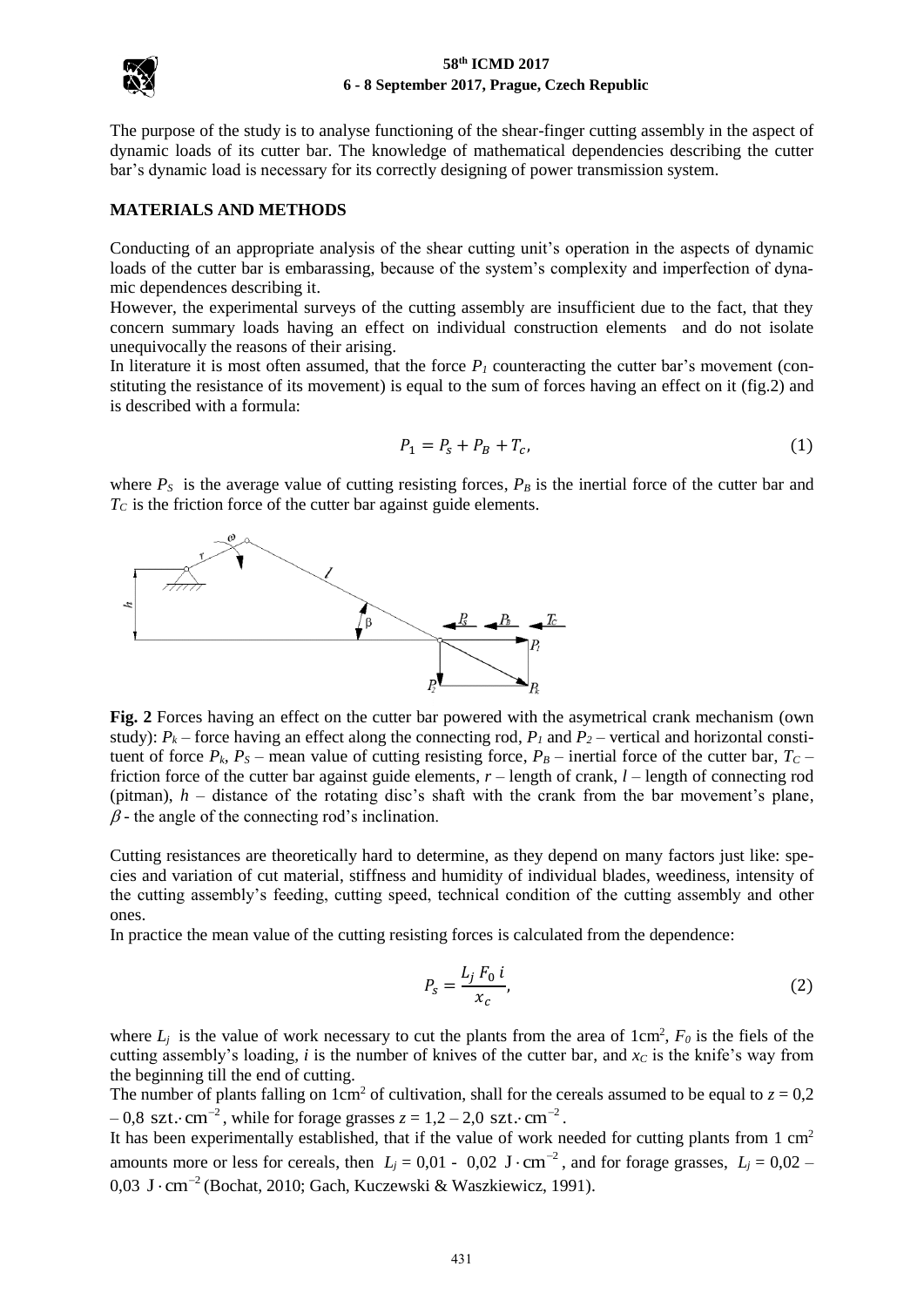

The purpose of the study is to analyse functioning of the shear-finger cutting assembly in the aspect of dynamic loads of its cutter bar. The knowledge of mathematical dependencies describing the cutter bar's dynamic load is necessary for its correctly designing of power transmission system.

## **MATERIALS AND METHODS**

Conducting of an appropriate analysis of the shear cutting unit's operation in the aspects of dynamic loads of the cutter bar is embarassing, because of the system's complexity and imperfection of dynamic dependences describing it.

However, the experimental surveys of the cutting assembly are insufficient due to the fact, that they concern summary loads having an effect on individual construction elements and do not isolate unequivocally the reasons of their arising.

In literature it is most often assumed, that the force  $P<sub>I</sub>$  counteracting the cutter bar's movement (constituting the resistance of its movement) is equal to the sum of forces having an effect on it (fig.2) and is described with a formula:

$$
P_1 = P_s + P_B + T_c, \t\t(1)
$$

where  $P_S$  is the average value of cutting resisting forces,  $P_B$  is the inertial force of the cutter bar and *TC* is the friction force of the cutter bar against guide elements.



**Fig. 2** Forces having an effect on the cutter bar powered with the asymetrical crank mechanism (own study):  $P_k$  – force having an effect along the connecting rod,  $P_l$  and  $P_2$  – vertical and horizontal constituent of force  $P_k$ ,  $P_S$  – mean value of cutting resisting force,  $P_B$  – inertial force of the cutter bar,  $T_C$  – friction force of the cutter bar against guide elements, *r –* length of crank, *l* – length of connecting rod (pitman), *h* – distance of the rotating disc's shaft with the crank from the bar movement's plane,  $\beta$ - the angle of the connecting rod's inclination.

Cutting resistances are theoretically hard to determine, as they depend on many factors just like: species and variation of cut material, stiffness and humidity of individual blades, weediness, intensity of the cutting assembly's feeding, cutting speed, technical condition of the cutting assembly and other ones.

In practice the mean value of the cutting resisting forces is calculated from the dependence:

$$
P_s = \frac{L_j F_0 i}{x_c},\tag{2}
$$

where  $L_j$  is the value of work necessary to cut the plants from the area of  $1 \text{ cm}^2$ ,  $F_0$  is the fiels of the cutting assembly's loading, *i* is the number of knives of the cutter bar, and *x<sup>C</sup>* is the knife's way from the beginning till the end of cutting.

The number of plants falling on  $1 \text{cm}^2$  of cultivation, shall for the cereals assumed to be equal to  $z = 0.2$  $-0.8 \text{ szt.} \cdot \text{cm}^{-2}$ , while for forage grasses  $z = 1.2 - 2.0 \text{ szt.} \cdot \text{cm}^{-2}$ .

It has been experimentally established, that if the value of work needed for cutting plants from 1 cm<sup>2</sup> amounts more or less for cereals, then  $L_j = 0.01 - 0.02$  J $\cdot$ cm<sup>-2</sup>, and for forage grasses,  $L_j = 0.02 - 0.02$ 0,03 J·cm<sup>-2</sup> (Bochat, 2010; Gach, Kuczewski & Waszkiewicz, 1991).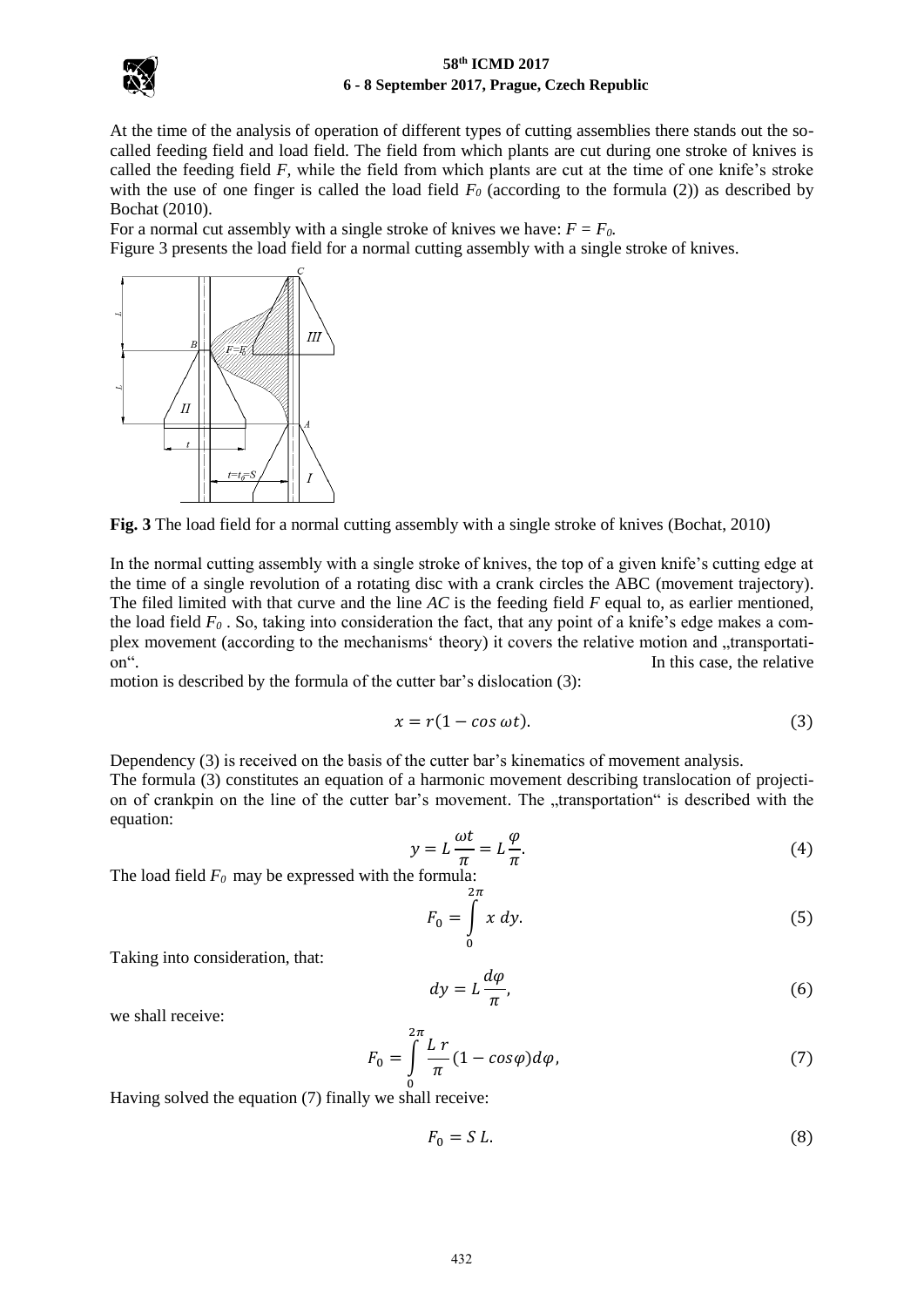

At the time of the analysis of operation of different types of cutting assemblies there stands out the socalled feeding field and load field. The field from which plants are cut during one stroke of knives is called the feeding field *F,* while the field from which plants are cut at the time of one knife's stroke with the use of one finger is called the load field  $F_0$  (according to the formula (2)) as described by Bochat (2010).

For a normal cut assembly with a single stroke of knives we have:  $F = F_0$ .

Figure 3 presents the load field for a normal cutting assembly with a single stroke of knives.



**Fig. 3** The load field for a normal cutting assembly with a single stroke of knives (Bochat, 2010)

In the normal cutting assembly with a single stroke of knives, the top of a given knife's cutting edge at the time of a single revolution of a rotating disc with a crank circles the ABC (movement trajectory). The filed limited with that curve and the line *AC* is the feeding field *F* equal to, as earlier mentioned, the load field  $F_0$ . So, taking into consideration the fact, that any point of a knife's edge makes a complex movement (according to the mechanisms' theory) it covers the relative motion and "transportation". In this case, the relative

motion is described by the formula of the cutter bar's dislocation (3):

$$
x = r(1 - \cos \omega t). \tag{3}
$$

Dependency (3) is received on the basis of the cutter bar's kinematics of movement analysis. The formula (3) constitutes an equation of a harmonic movement describing translocation of projection of crankpin on the line of the cutter bar's movement. The "transportation" is described with the equation:

$$
y = L\frac{\omega t}{\pi} = L\frac{\varphi}{\pi}.
$$
\n(4)

The load field *F0* may be expressed with the formula:

$$
F_0 = \int\limits_0^{2\pi} x \, dy. \tag{5}
$$

Taking into consideration, that:

$$
dy = L\frac{d\varphi}{\pi},\tag{6}
$$

we shall receive:

$$
F_0 = \int_{0}^{2\pi} \frac{L \, r}{\pi} (1 - \cos\varphi) d\varphi, \tag{7}
$$

Having solved the equation (7) finally we shall receive:

$$
F_0 = S L. \tag{8}
$$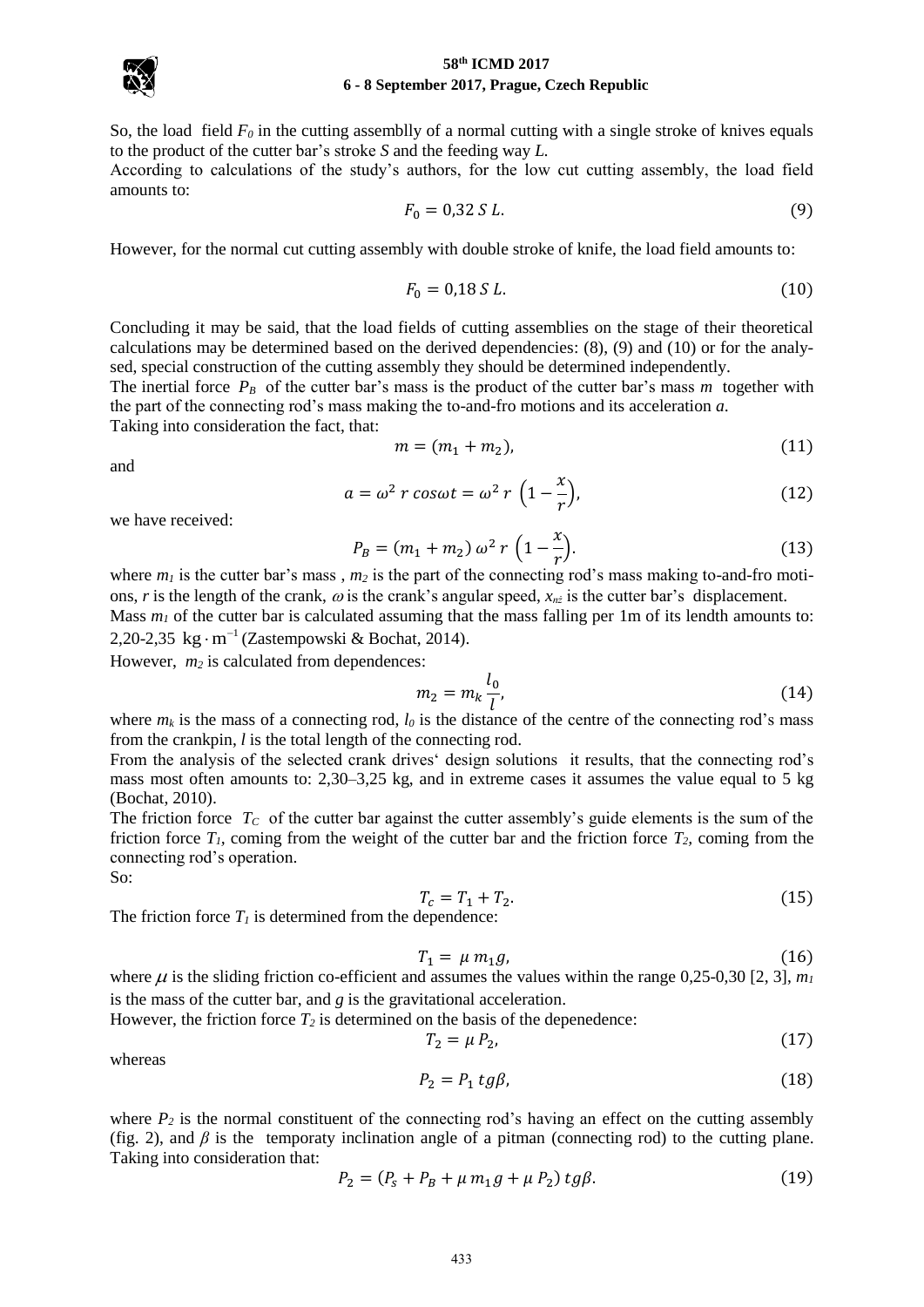

So, the load field  $F_0$  in the cutting assemblly of a normal cutting with a single stroke of knives equals to the product of the cutter bar's stroke *S* and the feeding way *L.*

According to calculations of the study's authors, for the low cut cutting assembly, the load field amounts to:

$$
F_0 = 0.32 \, S \, L. \tag{9}
$$

However, for the normal cut cutting assembly with double stroke of knife, the load field amounts to:

$$
F_0 = 0.18 S L. \t\t(10)
$$

Concluding it may be said, that the load fields of cutting assemblies on the stage of their theoretical calculations may be determined based on the derived dependencies: (8), (9) and (10) or for the analysed, special construction of the cutting assembly they should be determined independently.

The inertial force  $P_B$  of the cutter bar's mass is the product of the cutter bar's mass *m* together with the part of the connecting rod's mass making the to-and-fro motions and its acceleration *a*.

Taking into consideration the fact, that:

$$
m = (m_1 + m_2),
$$
 (11)

and

$$
a = \omega^2 r \cos \omega t = \omega^2 r \left(1 - \frac{x}{r}\right),\tag{12}
$$

we have received:

$$
P_B = (m_1 + m_2) \omega^2 r \left(1 - \frac{x}{r}\right).
$$
 (13)

where *m<sup>1</sup>* is the cutter bar's mass , *m<sup>2</sup>* is the part of the connecting rod's mass making to-and-fro motions, *r* is the length of the crank,  $\omega$  is the crank's angular speed,  $x_{nz}$  is the cutter bar's displacement. Mass  $m<sub>1</sub>$  of the cutter bar is calculated assuming that the mass falling per 1m of its lendth amounts to: 2,20-2,35  $\text{kg} \cdot \text{m}^{-1}$  (Zastempowski & Bochat, 2014).

However, *m<sup>2</sup>* is calculated from dependences:

$$
m_2 = m_k \frac{l_0}{l},\tag{14}
$$

where  $m_k$  is the mass of a connecting rod,  $l_0$  is the distance of the centre of the connecting rod's mass from the crankpin, *l* is the total length of the connecting rod.

From the analysis of the selected crank drives' design solutions it results, that the connecting rod's mass most often amounts to: 2,30–3,25 kg, and in extreme cases it assumes the value equal to 5 kg (Bochat, 2010).

The friction force *T<sup>C</sup>* of the cutter bar against the cutter assembly's guide elements is the sum of the friction force  $T_I$ , coming from the weight of the cutter bar and the friction force  $T_2$ , coming from the connecting rod's operation.

So:

$$
T_c = T_1 + T_2. \t\t(15)
$$

The friction force  $T_I$  is determined from the dependence:

$$
T_1 = \mu \, m_1 g,\tag{16}
$$

where  $\mu$  is the sliding friction co-efficient and assumes the values within the range 0,25-0,30 [2, 3],  $m<sub>I</sub>$ is the mass of the cutter bar, and *g* is the gravitational acceleration.

However, the friction force  $T_2$  is determined on the basis of the depenedence:

$$
T_2 = \mu P_2,\tag{17}
$$

whereas

$$
P_2 = P_1 \, t \, g \beta, \tag{18}
$$

where  $P_2$  is the normal constituent of the connecting rod's having an effect on the cutting assembly (fig. 2), and  $\beta$  is the temporaty inclination angle of a pitman (connecting rod) to the cutting plane. Taking into consideration that:

$$
P_2 = (P_s + P_B + \mu m_1 g + \mu P_2) \, t g \beta. \tag{19}
$$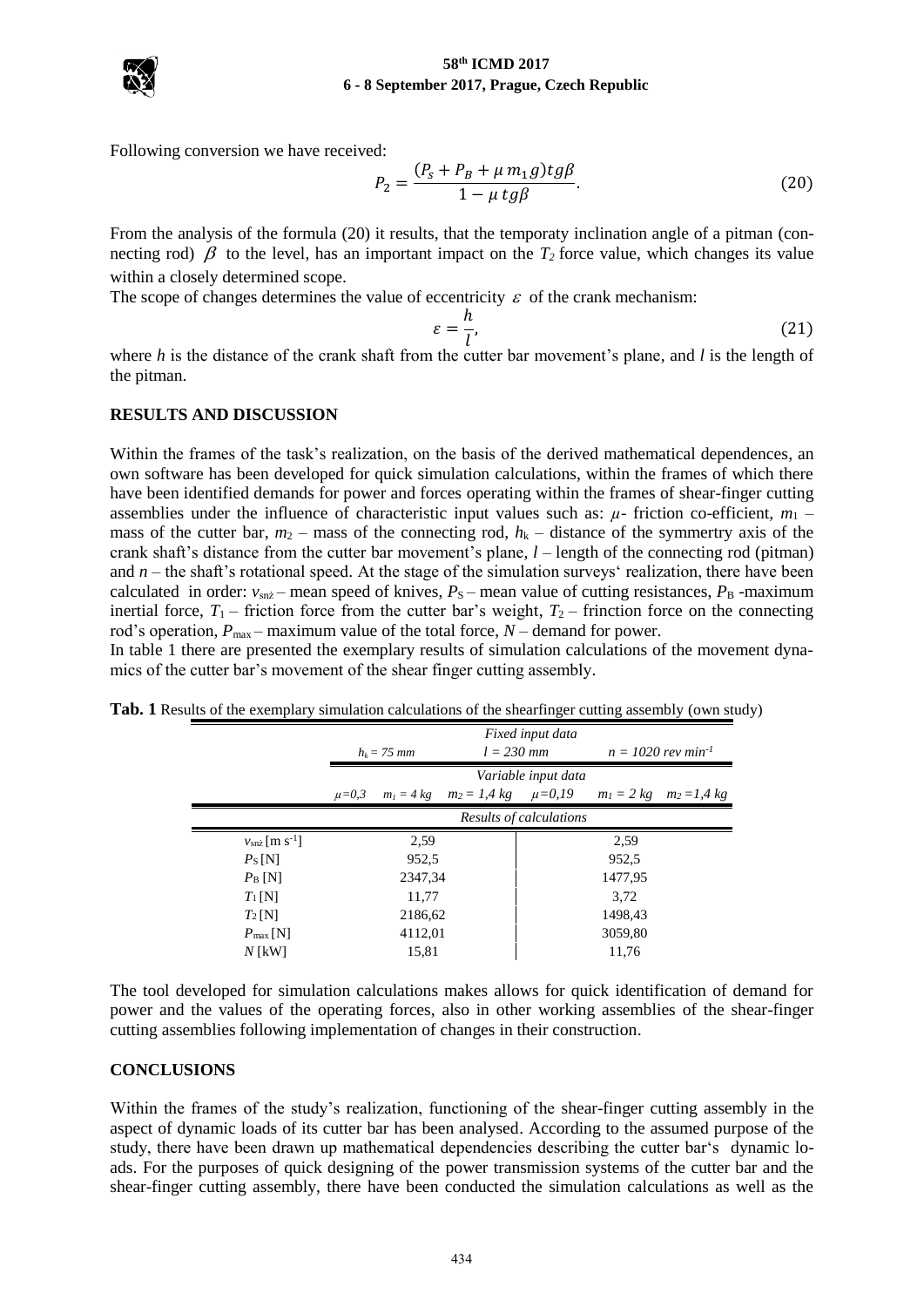

Following conversion we have received:

$$
P_2 = \frac{(P_s + P_B + \mu m_1 g)tg\beta}{1 - \mu tg\beta}.
$$
\n(20)

From the analysis of the formula (20) it results, that the temporaty inclination angle of a pitman (connecting rod)  $\beta$  to the level, has an important impact on the  $T_2$  force value, which changes its value within a closely determined scope.

The scope of changes determines the value of eccentricity  $\varepsilon$  of the crank mechanism:

$$
\varepsilon = \frac{h}{l},\tag{21}
$$

where *h* is the distance of the crank shaft from the cutter bar movement's plane, and *l* is the length of the pitman.

## **RESULTS AND DISCUSSION**

Within the frames of the task's realization, on the basis of the derived mathematical dependences, an own software has been developed for quick simulation calculations, within the frames of which there have been identified demands for power and forces operating within the frames of shear-finger cutting assemblies under the influence of characteristic input values such as:  $\mu$ - friction co-efficient,  $m_1$  – mass of the cutter bar,  $m_2$  – mass of the connecting rod,  $h_k$  – distance of the symmertry axis of the crank shaft's distance from the cutter bar movement's plane, *l* – length of the connecting rod (pitman) and *n* – the shaft's rotational speed. At the stage of the simulation surveys' realization, there have been calculated in order:  $v_{snz}$  – mean speed of knives,  $P_S$  – mean value of cutting resistances,  $P_B$  -maximum inertial force,  $T_1$  – friction force from the cutter bar's weight,  $T_2$  – frinction force on the connecting rod's operation,  $P_{\text{max}}$  – maximum value of the total force,  $N$  – demand for power.

In table 1 there are presented the exemplary results of simulation calculations of the movement dynamics of the cutter bar's movement of the shear finger cutting assembly.

**Tab. 1** Results of the exemplary simulation calculations of the shearfinger cutting assembly (own study)

|                                | Fixed input data        |  |                                             |                     |                                  |                                             |
|--------------------------------|-------------------------|--|---------------------------------------------|---------------------|----------------------------------|---------------------------------------------|
|                                | $h_k = 75$ mm           |  | $l = 230$ mm                                |                     | $n = 1020$ rev min <sup>-1</sup> |                                             |
|                                |                         |  |                                             | Variable input data |                                  |                                             |
|                                | $\mu = 0.3$             |  | $m_1 = 4 \text{ kg}$ $m_2 = 1.4 \text{ kg}$ | $\mu = 0, 19$       |                                  | $m_1 = 2 \text{ kg}$ $m_2 = 1.4 \text{ kg}$ |
|                                | Results of calculations |  |                                             |                     |                                  |                                             |
| $v_{snz}$ [m s <sup>-1</sup> ] | 2,59                    |  |                                             | 2.59                |                                  |                                             |
| $P_{\rm S}$ [N]                | 952.5                   |  |                                             | 952,5               |                                  |                                             |
| $P_{\rm B}$ [N]                | 2347,34                 |  |                                             | 1477,95             |                                  |                                             |
| $T_1[N]$                       | 11,77                   |  |                                             | 3.72                |                                  |                                             |
| $T_2[N]$                       | 2186,62                 |  |                                             | 1498,43             |                                  |                                             |
| $P_{\text{max}}$ [N]           | 4112,01                 |  |                                             | 3059,80             |                                  |                                             |
| $N$ [kW]                       | 15,81                   |  |                                             | 11.76               |                                  |                                             |

The tool developed for simulation calculations makes allows for quick identification of demand for power and the values of the operating forces, also in other working assemblies of the shear-finger cutting assemblies following implementation of changes in their construction.

### **CONCLUSIONS**

Within the frames of the study's realization, functioning of the shear-finger cutting assembly in the aspect of dynamic loads of its cutter bar has been analysed. According to the assumed purpose of the study, there have been drawn up mathematical dependencies describing the cutter bar's dynamic loads. For the purposes of quick designing of the power transmission systems of the cutter bar and the shear-finger cutting assembly, there have been conducted the simulation calculations as well as the